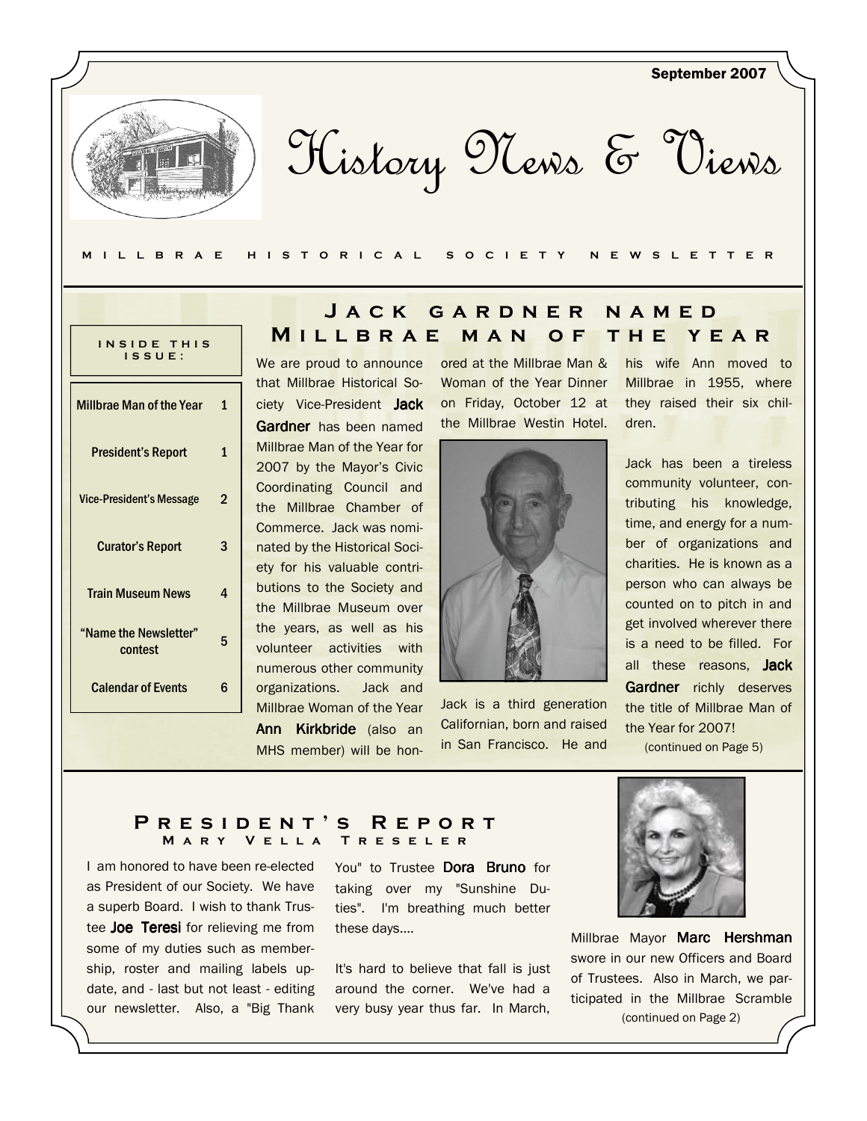

History News & Views

#### M I L L B R A E H I S T O R I C A L S O C I E T Y N E W S L E T T E R

| INSIDE THIS<br>$IS$ SUE :        |   |
|----------------------------------|---|
| <b>Millbrae Man of the Year</b>  | 1 |
| President's Report               | 1 |
| <b>Vice-President's Message</b>  | 2 |
| <b>Curator's Report</b>          | 3 |
| <b>Train Museum News</b>         | 4 |
| "Name the Newsletter"<br>contest | 5 |
| <b>Calendar of Events</b>        | 6 |

## JACK GARDNER NAMED MILLBRAE MAN OF THE YEAR

We are proud to announce that Millbrae Historical Society Vice-President Jack Gardner has been named Millbrae Man of the Year for 2007 by the Mayor's Civic Coordinating Council and the Millbrae Chamber of Commerce. Jack was nominated by the Historical Society for his valuable contributions to the Society and the Millbrae Museum over the years, as well as his volunteer activities with numerous other community organizations. Jack and Millbrae Woman of the Year Ann Kirkbride (also an MHS member) will be honored at the Millbrae Man & Woman of the Year Dinner on Friday, October 12 at the Millbrae Westin Hotel.



Jack is a third generation Californian, born and raised in San Francisco. He and

his wife Ann moved to Millbrae in 1955, where they raised their six children.

Jack has been a tireless community volunteer, contributing his knowledge, time, and energy for a number of organizations and charities. He is known as a person who can always be counted on to pitch in and get involved wherever there is a need to be filled. For all these reasons. Jack Gardner richly deserves the title of Millbrae Man of the Year for 2007!

#### (continued on Page 5)

## PRESIDENT'S REPORT MARY VELLA TRESELER

I am honored to have been re-elected as President of our Society. We have a superb Board. I wish to thank Trustee Joe Teresi for relieving me from some of my duties such as membership, roster and mailing labels update, and - last but not least - editing our newsletter. Also, a "Big Thank

You" to Trustee Dora Bruno for taking over my "Sunshine Duties". I'm breathing much better these days....

It's hard to believe that fall is just around the corner. We've had a very busy year thus far. In March,



Millbrae Mayor Marc Hershman swore in our new Officers and Board of Trustees. Also in March, we participated in the Millbrae Scramble (continued on Page 2)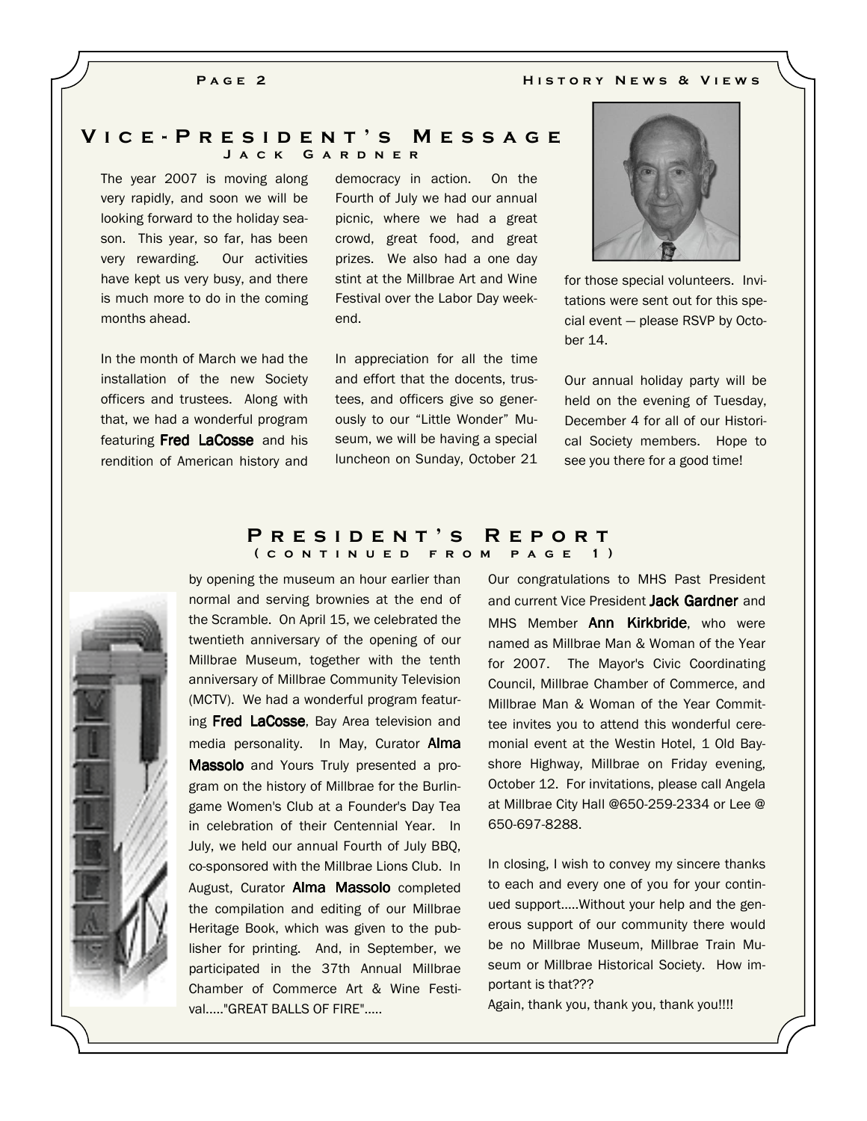## PAGE<sub>2</sub>

## V i c e - P r e s i d e n t ' s M e s s a g e J a c k G a r d n e r

The year 2007 is moving along very rapidly, and soon we will be looking forward to the holiday season. This year, so far, has been very rewarding. Our activities have kept us very busy, and there is much more to do in the coming months ahead.

In the month of March we had the installation of the new Society officers and trustees. Along with that, we had a wonderful program featuring **Fred LaCosse** and his rendition of American history and

democracy in action. On the Fourth of July we had our annual picnic, where we had a great crowd, great food, and great prizes. We also had a one day stint at the Millbrae Art and Wine Festival over the Labor Day weekend.

In appreciation for all the time and effort that the docents, trustees, and officers give so generously to our "Little Wonder" Museum, we will be having a special luncheon on Sunday, October 21



for those special volunteers. Invitations were sent out for this special event — please RSVP by October 14.

Our annual holiday party will be held on the evening of Tuesday, December 4 for all of our Historical Society members. Hope to see you there for a good time!



by opening the museum an hour earlier than normal and serving brownies at the end of the Scramble. On April 15, we celebrated the twentieth anniversary of the opening of our Millbrae Museum, together with the tenth anniversary of Millbrae Community Television (MCTV). We had a wonderful program featuring Fred LaCosse, Bay Area television and media personality. In May, Curator Alma Massolo and Yours Truly presented a program on the history of Millbrae for the Burlingame Women's Club at a Founder's Day Tea in celebration of their Centennial Year. In July, we held our annual Fourth of July BBQ, co-sponsored with the Millbrae Lions Club. In August, Curator Alma Massolo completed the compilation and editing of our Millbrae Heritage Book, which was given to the publisher for printing. And, in September, we participated in the 37th Annual Millbrae Chamber of Commerce Art & Wine Festival....."GREAT BALLS OF FIRE".....

Our congratulations to MHS Past President and current Vice President Jack Gardner and MHS Member **Ann Kirkbride**, who were named as Millbrae Man & Woman of the Year for 2007. The Mayor's Civic Coordinating Council, Millbrae Chamber of Commerce, and Millbrae Man & Woman of the Year Committee invites you to attend this wonderful ceremonial event at the Westin Hotel, 1 Old Bayshore Highway, Millbrae on Friday evening, October 12. For invitations, please call Angela at Millbrae City Hall @650-259-2334 or Lee @ 650-697-8288.

In closing, I wish to convey my sincere thanks to each and every one of you for your continued support.....Without your help and the generous support of our community there would be no Millbrae Museum, Millbrae Train Museum or Millbrae Historical Society. How important is that???

Again, thank you, thank you, thank you!!!!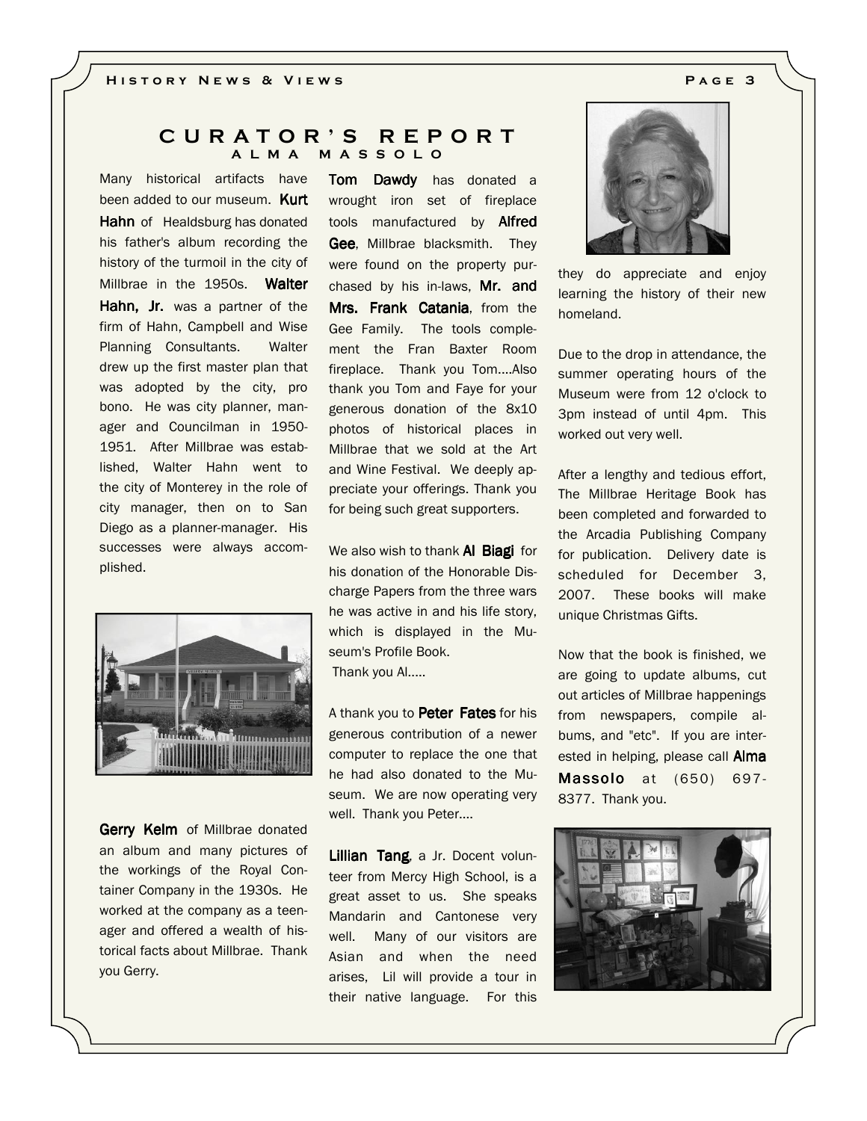## C U R A T O R ' S R E P O R T A L M A M A S S O L O

Many historical artifacts have been added to our museum. Kurt Hahn of Healdsburg has donated his father's album recording the history of the turmoil in the city of Millbrae in the 1950s. Walter Hahn. Jr. was a partner of the firm of Hahn, Campbell and Wise Planning Consultants. Walter drew up the first master plan that was adopted by the city, pro bono. He was city planner, manager and Councilman in 1950- 1951. After Millbrae was established, Walter Hahn went to the city of Monterey in the role of city manager, then on to San Diego as a planner-manager. His successes were always accomplished.



Gerry Kelm of Millbrae donated an album and many pictures of the workings of the Royal Container Company in the 1930s. He worked at the company as a teenager and offered a wealth of historical facts about Millbrae. Thank you Gerry.

Tom Dawdy has donated a wrought iron set of fireplace tools manufactured by Alfred Gee. Millbrae blacksmith. They were found on the property purchased by his in-laws, Mr. and Mrs. Frank Catania, from the Gee Family. The tools complement the Fran Baxter Room fireplace. Thank you Tom....Also thank you Tom and Faye for your generous donation of the 8x10 photos of historical places in Millbrae that we sold at the Art and Wine Festival. We deeply appreciate your offerings. Thank you for being such great supporters.

We also wish to thank Al Biagi for his donation of the Honorable Discharge Papers from the three wars he was active in and his life story, which is displayed in the Museum's Profile Book. Thank you Al.....

A thank you to **Peter Fates** for his generous contribution of a newer computer to replace the one that he had also donated to the Museum. We are now operating very well. Thank you Peter....

Lillian Tang, a Jr. Docent volunteer from Mercy High School, is a great asset to us. She speaks Mandarin and Cantonese very well. Many of our visitors are Asian and when the need arises, Lil will provide a tour in their native language. For this



they do appreciate and enjoy learning the history of their new homeland.

Due to the drop in attendance, the summer operating hours of the Museum were from 12 o'clock to 3pm instead of until 4pm. This worked out very well.

After a lengthy and tedious effort, The Millbrae Heritage Book has been completed and forwarded to the Arcadia Publishing Company for publication. Delivery date is scheduled for December 3, 2007. These books will make unique Christmas Gifts.

Now that the book is finished, we are going to update albums, cut out articles of Millbrae happenings from newspapers, compile albums, and "etc". If you are interested in helping, please call Alma Massolo at (650) 697- 8377. Thank you.

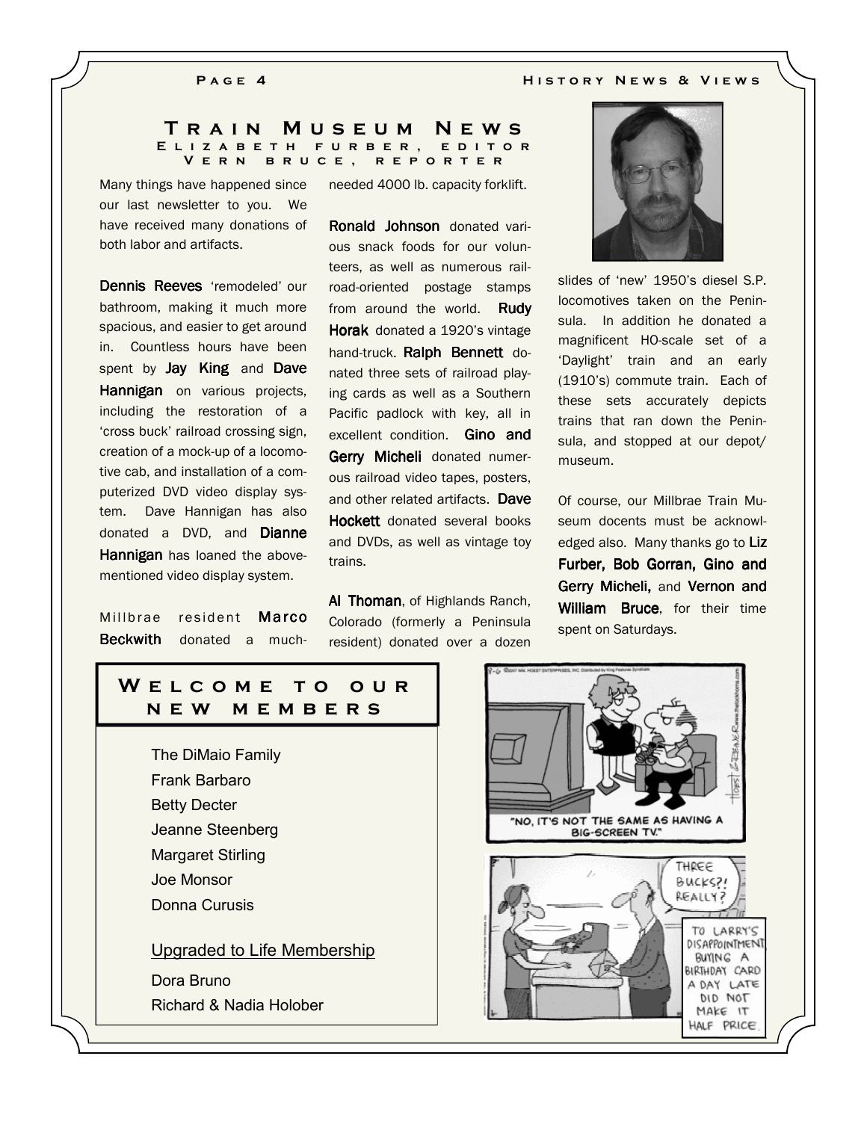### P A G E 4 **HISTORY NEWS & VIEWS**

### T R A I N M U S E U M N E W S<br>Elizabeth Furber, Editoi E L I Z A B E T H F U R B E R , E D I T O R V e r n b r u c e , r e p o r t e r

Many things have happened since our last newsletter to you. We have received many donations of both labor and artifacts.

Dennis Reeves 'remodeled' our bathroom, making it much more spacious, and easier to get around in. Countless hours have been spent by **Jay King** and **Dave** Hannigan on various projects, including the restoration of a 'cross buck' railroad crossing sign, creation of a mock-up of a locomotive cab, and installation of a computerized DVD video display system. Dave Hannigan has also donated a DVD, and **Dianne Hannigan** has loaned the abovementioned video display system.

Millbrae resident Marco Beckwith donated a muchneeded 4000 lb. capacity forklift.

Ronald Johnson donated various snack foods for our volunteers, as well as numerous railroad-oriented postage stamps from around the world. Rudy Horak donated a 1920's vintage hand-truck. Ralph Bennett donated three sets of railroad playing cards as well as a Southern Pacific padlock with key, all in excellent condition. Gino and Gerry Micheli donated numerous railroad video tapes, posters, and other related artifacts. Dave Hockett donated several books and DVDs, as well as vintage toy trains.

Al Thoman, of Highlands Ranch, Colorado (formerly a Peninsula resident) donated over a dozen



slides of 'new' 1950's diesel S.P. locomotives taken on the Peninsula. In addition he donated a magnificent HO-scale set of a 'Daylight' train and an early (1910's) commute train. Each of these sets accurately depicts trains that ran down the Peninsula, and stopped at our depot/ museum.

Of course, our Millbrae Train Museum docents must be acknowledged also. Many thanks go to Liz Furber, Bob Gorran, Gino and Gerry Micheli, and Vernon and William Bruce, for their time spent on Saturdays.



## WELCOME TO OUR n e w m e m b e r s

The DiMaio Family Frank Barbaro Betty Decter Jeanne Steenberg Margaret Stirling Joe Monsor Donna Curusis

## Upgraded to Life Membership

Dora Bruno Richard & Nadia Holober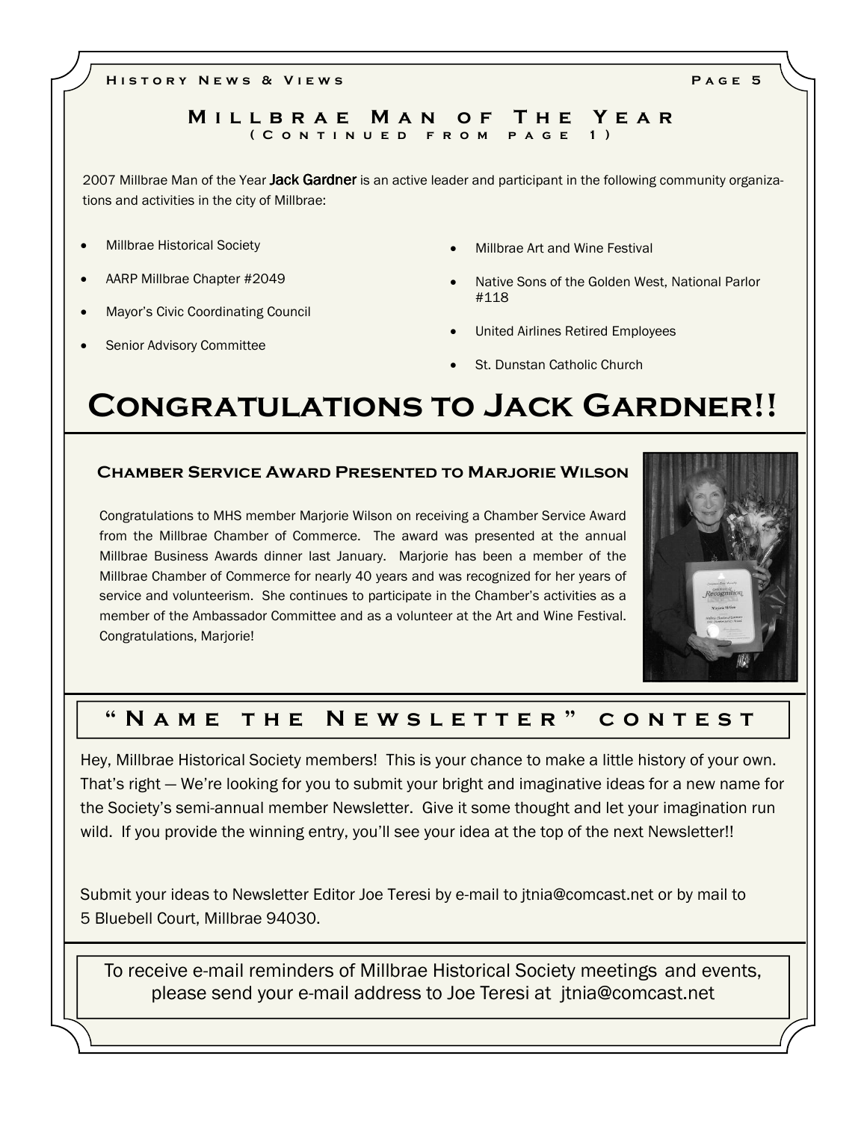H I STORY NEWS & VIEWS **FOR A G A G E 5** 

## MILLBRAE MAN OF THE YEAR ( C O N T I N U E D F R O M P A G E 1 )

2007 Millbrae Man of the Year Jack Gardner is an active leader and participant in the following community organizations and activities in the city of Millbrae:

- Millbrae Historical Society
- AARP Millbrae Chapter #2049
- Mayor's Civic Coordinating Council
- Senior Advisory Committee
- Millbrae Art and Wine Festival
- Native Sons of the Golden West, National Parlor #118
- United Airlines Retired Employees
- St. Dunstan Catholic Church

# Congratulations to Jack Gardner!!

## Chamber Service Award Presented to Marjorie Wilson

Congratulations to MHS member Marjorie Wilson on receiving a Chamber Service Award from the Millbrae Chamber of Commerce. The award was presented at the annual Millbrae Business Awards dinner last January. Marjorie has been a member of the Millbrae Chamber of Commerce for nearly 40 years and was recognized for her years of service and volunteerism. She continues to participate in the Chamber's activities as a member of the Ambassador Committee and as a volunteer at the Art and Wine Festival. Congratulations, Marjorie!



## " NAME THE NEWSLETTER" CONTEST

Hey, Millbrae Historical Society members! This is your chance to make a little history of your own. That's right — We're looking for you to submit your bright and imaginative ideas for a new name for the Society's semi-annual member Newsletter. Give it some thought and let your imagination run wild. If you provide the winning entry, you'll see your idea at the top of the next Newsletter!!

Submit your ideas to Newsletter Editor Joe Teresi by e-mail to jtnia@comcast.net or by mail to 5 Bluebell Court, Millbrae 94030.

To receive e-mail reminders of Millbrae Historical Society meetings and events, please send your e-mail address to Joe Teresi at jtnia@comcast.net